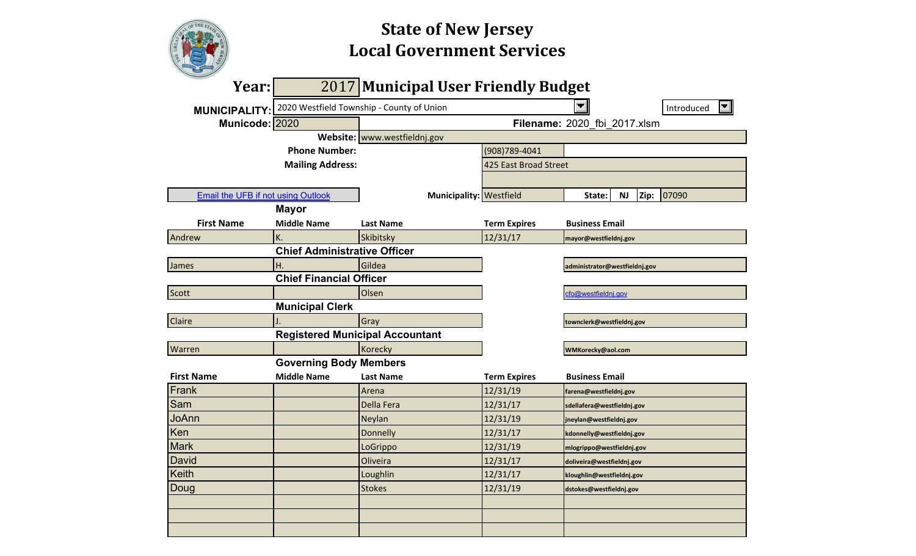|                                           |                                     | <b>State of New Jersey</b><br><b>Local Government Services</b> |                       |                               |           |      |            |  |  |  |  |  |  |  |
|-------------------------------------------|-------------------------------------|----------------------------------------------------------------|-----------------------|-------------------------------|-----------|------|------------|--|--|--|--|--|--|--|
| Year:                                     | 2017                                | <b>Municipal User Friendly Budget</b>                          |                       |                               |           |      |            |  |  |  |  |  |  |  |
| <b>MUNICIPALITY:</b>                      |                                     | 2020 Westfield Township - County of Union                      |                       |                               |           |      | Introduced |  |  |  |  |  |  |  |
| Municode: 2020                            |                                     |                                                                |                       | Filename: 2020 fbi 2017.xlsm  |           |      |            |  |  |  |  |  |  |  |
|                                           |                                     | Website: www.westfieldnj.gov                                   |                       |                               |           |      |            |  |  |  |  |  |  |  |
|                                           | <b>Phone Number:</b>                |                                                                | (908)789-4041         |                               |           |      |            |  |  |  |  |  |  |  |
|                                           | <b>Mailing Address:</b>             |                                                                | 425 East Broad Street |                               |           |      |            |  |  |  |  |  |  |  |
|                                           |                                     |                                                                |                       |                               |           |      |            |  |  |  |  |  |  |  |
| <b>Email the UFB if not using Outlook</b> |                                     | Municipality: Westfield                                        |                       | State:                        | <b>NJ</b> | Zip: | 07090      |  |  |  |  |  |  |  |
|                                           | <b>Mayor</b>                        |                                                                |                       |                               |           |      |            |  |  |  |  |  |  |  |
| <b>First Name</b>                         | <b>Middle Name</b>                  | <b>Last Name</b>                                               | <b>Term Expires</b>   | <b>Business Email</b>         |           |      |            |  |  |  |  |  |  |  |
| Andrew                                    | K.                                  | Skibitsky                                                      | 12/31/17              | mayor@westfieldnj.gov         |           |      |            |  |  |  |  |  |  |  |
|                                           | <b>Chief Administrative Officer</b> |                                                                |                       |                               |           |      |            |  |  |  |  |  |  |  |
| <b>James</b>                              | Η.                                  | Gildea                                                         |                       | administrator@westfieldnj.gov |           |      |            |  |  |  |  |  |  |  |
|                                           | <b>Chief Financial Officer</b>      |                                                                |                       |                               |           |      |            |  |  |  |  |  |  |  |
| Scott                                     |                                     | Olsen                                                          |                       | cfo@westfieldni.gov           |           |      |            |  |  |  |  |  |  |  |
|                                           | <b>Municipal Clerk</b>              |                                                                |                       |                               |           |      |            |  |  |  |  |  |  |  |
| Claire                                    |                                     | Gray                                                           |                       | townclerk@westfieldnj.gov     |           |      |            |  |  |  |  |  |  |  |
|                                           |                                     | <b>Registered Municipal Accountant</b>                         |                       |                               |           |      |            |  |  |  |  |  |  |  |
| Warren                                    |                                     | Korecky                                                        |                       | WMKorecky@aol.com             |           |      |            |  |  |  |  |  |  |  |
|                                           | <b>Governing Body Members</b>       |                                                                |                       |                               |           |      |            |  |  |  |  |  |  |  |
| <b>First Name</b>                         | <b>Middle Name</b>                  | <b>Last Name</b>                                               | <b>Term Expires</b>   | <b>Business Email</b>         |           |      |            |  |  |  |  |  |  |  |
| Frank                                     |                                     | Arena                                                          | 12/31/19              | farena@westfieldnj.gov        |           |      |            |  |  |  |  |  |  |  |
| Sam                                       |                                     | Della Fera                                                     | 12/31/17              | sdellafera@westfieldnj.gov    |           |      |            |  |  |  |  |  |  |  |
| JoAnn                                     |                                     | Neylan                                                         | 12/31/19              | jneylan@westfieldnj.gov       |           |      |            |  |  |  |  |  |  |  |
| Ken                                       |                                     | Donnelly                                                       | 12/31/17              | kdonnelly@westfieldnj.gov     |           |      |            |  |  |  |  |  |  |  |
| <b>Mark</b>                               |                                     | LoGrippo                                                       | 12/31/19              | mlogrippo@westfieldnj.gov     |           |      |            |  |  |  |  |  |  |  |
| David                                     |                                     | Oliveira                                                       | 12/31/17              | doliveira@westfieldnj.gov     |           |      |            |  |  |  |  |  |  |  |
| Keith                                     |                                     | Loughlin                                                       | 12/31/17              | kloughlin@westfieldnj.gov     |           |      |            |  |  |  |  |  |  |  |
| Doug                                      |                                     | <b>Stokes</b>                                                  | 12/31/19              | dstokes@westfieldnj.gov       |           |      |            |  |  |  |  |  |  |  |
|                                           |                                     |                                                                |                       |                               |           |      |            |  |  |  |  |  |  |  |
|                                           |                                     |                                                                |                       |                               |           |      |            |  |  |  |  |  |  |  |
|                                           |                                     |                                                                |                       |                               |           |      |            |  |  |  |  |  |  |  |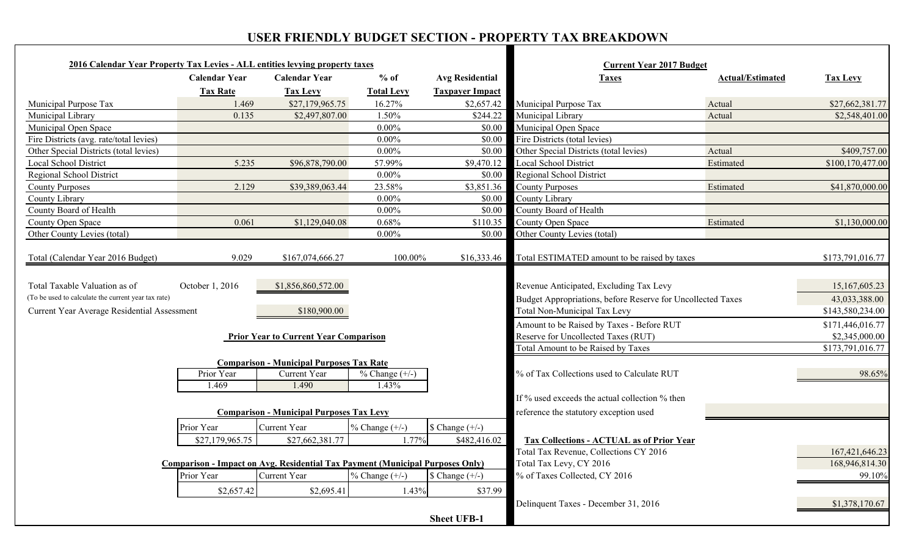# **USER FRIENDLY BUDGET SECTION - PROPERTY TAX BREAKDOWN**

| 2016 Calendar Year Property Tax Levies - ALL entities levying property taxes         |                                                                               |                                                                          |                              |                          | <b>Current Year 2017 Budget</b>                                                                                                               |                         |                                |
|--------------------------------------------------------------------------------------|-------------------------------------------------------------------------------|--------------------------------------------------------------------------|------------------------------|--------------------------|-----------------------------------------------------------------------------------------------------------------------------------------------|-------------------------|--------------------------------|
|                                                                                      | <b>Calendar Year</b>                                                          | <b>Calendar Year</b>                                                     | $%$ of                       | <b>Avg Residential</b>   | <b>Taxes</b>                                                                                                                                  | <b>Actual/Estimated</b> | <b>Tax Levy</b>                |
|                                                                                      | <b>Tax Rate</b>                                                               | <b>Tax Levy</b>                                                          | <b>Total Levy</b>            | <b>Taxpayer Impact</b>   |                                                                                                                                               |                         |                                |
| Municipal Purpose Tax                                                                | 1.469                                                                         | \$27,179,965.75                                                          | 16.27%                       | \$2,657.42               | Municipal Purpose Tax                                                                                                                         | Actual                  | \$27,662,381.77                |
| Municipal Library                                                                    | 0.135                                                                         | \$2,497,807.00                                                           | 1.50%                        | \$244.22                 | Municipal Library                                                                                                                             | Actual                  | \$2,548,401.00                 |
| Municipal Open Space                                                                 |                                                                               |                                                                          | $0.00\%$                     | \$0.00                   | Municipal Open Space                                                                                                                          |                         |                                |
| Fire Districts (avg. rate/total levies)                                              |                                                                               |                                                                          | $0.00\%$                     | \$0.00                   | Fire Districts (total levies)                                                                                                                 |                         |                                |
| Other Special Districts (total levies)                                               |                                                                               |                                                                          | $0.00\%$                     | \$0.00                   | Other Special Districts (total levies)                                                                                                        | Actual                  | \$409,757.00                   |
| Local School District                                                                | 5.235                                                                         | \$96,878,790.00                                                          | 57.99%                       | \$9,470.12               | Local School District                                                                                                                         | Estimated               | \$100,170,477.00               |
| Regional School District                                                             |                                                                               |                                                                          | $0.00\%$                     | \$0.00                   | <b>Regional School District</b>                                                                                                               |                         |                                |
| <b>County Purposes</b>                                                               | 2.129                                                                         | \$39,389,063.44                                                          | 23.58%                       | \$3,851.36               | <b>County Purposes</b>                                                                                                                        | Estimated               | \$41,870,000.00                |
| County Library                                                                       |                                                                               |                                                                          | $0.00\%$                     | \$0.00                   | County Library                                                                                                                                |                         |                                |
| County Board of Health                                                               |                                                                               |                                                                          | $0.00\%$                     | \$0.00                   | County Board of Health                                                                                                                        |                         |                                |
| County Open Space                                                                    | 0.061                                                                         | \$1,129,040.08                                                           | 0.68%                        | \$110.35                 | County Open Space                                                                                                                             | Estimated               | \$1,130,000.00                 |
| Other County Levies (total)                                                          |                                                                               |                                                                          | $0.00\%$                     | \$0.00                   | Other County Levies (total)                                                                                                                   |                         |                                |
|                                                                                      |                                                                               |                                                                          |                              |                          |                                                                                                                                               |                         |                                |
| Total (Calendar Year 2016 Budget)                                                    | 9.029                                                                         | \$167,074,666.27                                                         | 100.00%                      |                          | \$16,333.46 Total ESTIMATED amount to be raised by taxes                                                                                      |                         | \$173,791,016.77               |
| Total Taxable Valuation as of<br>(To be used to calculate the current year tax rate) | October 1, 2016                                                               | \$1,856,860,572.00                                                       |                              |                          | Revenue Anticipated, Excluding Tax Levy<br>Budget Appropriations, before Reserve for Uncollected Taxes<br><b>Total Non-Municipal Tax Levy</b> |                         | 15,167,605.23<br>43,033,388.00 |
| Current Year Average Residential Assessment                                          |                                                                               | \$180,900.00                                                             |                              |                          |                                                                                                                                               |                         | \$143,580,234.00               |
|                                                                                      |                                                                               |                                                                          |                              |                          | Amount to be Raised by Taxes - Before RUT                                                                                                     |                         | \$171,446,016.77               |
|                                                                                      |                                                                               | <b>Prior Year to Current Year Comparison</b>                             |                              |                          | Reserve for Uncollected Taxes (RUT)                                                                                                           |                         | \$2,345,000.00                 |
|                                                                                      |                                                                               |                                                                          |                              |                          | Total Amount to be Raised by Taxes                                                                                                            |                         | \$173,791,016.77               |
|                                                                                      | Prior Year<br>1.469                                                           | <b>Comparison - Municipal Purposes Tax Rate</b><br>Current Year<br>1.490 | $\%$ Change $(+/-)$<br>1.43% |                          | % of Tax Collections used to Calculate RUT                                                                                                    |                         | 98.65%                         |
|                                                                                      |                                                                               |                                                                          |                              |                          | If % used exceeds the actual collection % then                                                                                                |                         |                                |
|                                                                                      |                                                                               | <b>Comparison - Municipal Purposes Tax Levy</b>                          |                              |                          | reference the statutory exception used                                                                                                        |                         |                                |
|                                                                                      | Prior Year                                                                    | Current Year                                                             | $\%$ Change $(+/-)$          | $\text{6 Change } (+/-)$ |                                                                                                                                               |                         |                                |
|                                                                                      | \$27,179,965.75                                                               | \$27,662,381.77                                                          | 1.77%                        | \$482,416.02             |                                                                                                                                               |                         |                                |
|                                                                                      |                                                                               |                                                                          |                              |                          | <b>Tax Collections - ACTUAL as of Prior Year</b>                                                                                              |                         |                                |
|                                                                                      | Comparison - Impact on Avg. Residential Tax Payment (Municipal Purposes Only) |                                                                          |                              |                          | Total Tax Revenue, Collections CY 2016<br>Total Tax Levy, CY 2016                                                                             |                         | 167,421,646.23                 |
|                                                                                      | Prior Year                                                                    | Current Year                                                             | $\%$ Change $(+/-)$          | $\sqrt{\$ Change $(+/-)$ | % of Taxes Collected, CY 2016                                                                                                                 |                         | 168,946,814.30<br>99.10%       |
|                                                                                      |                                                                               |                                                                          |                              |                          |                                                                                                                                               |                         |                                |
|                                                                                      | \$2,657.42                                                                    | \$2,695.41                                                               | 1.43%                        | \$37.99                  |                                                                                                                                               |                         |                                |
|                                                                                      |                                                                               |                                                                          |                              |                          | Delinquent Taxes - December 31, 2016                                                                                                          |                         | \$1,378,170.67                 |
|                                                                                      |                                                                               |                                                                          |                              | <b>Sheet UFB-1</b>       |                                                                                                                                               |                         |                                |
|                                                                                      |                                                                               |                                                                          |                              |                          |                                                                                                                                               |                         |                                |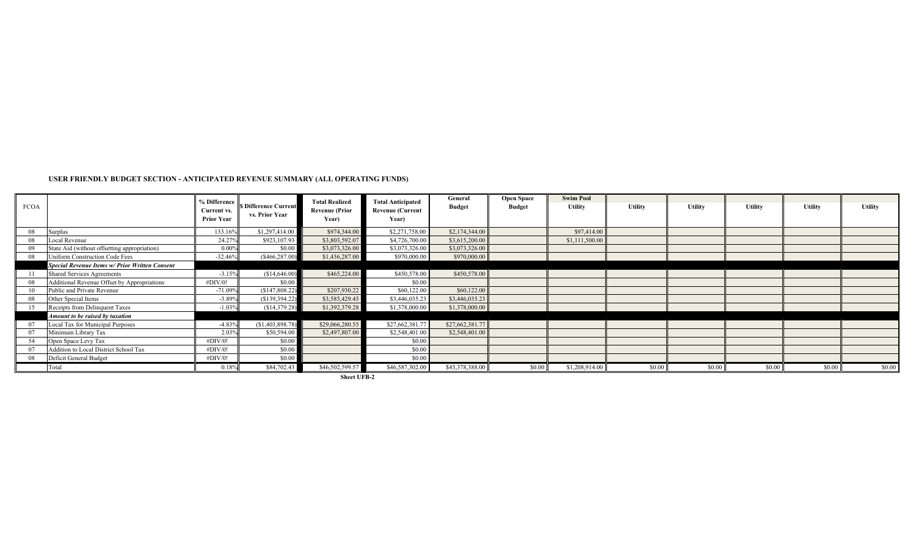#### **USER FRIENDLY BUDGET SECTION - ANTICIPATED REVENUE SUMMARY (ALL OPERATING FUNDS)**

| <b>FCOA</b> |                                                       | % Difference<br>Current vs.<br><b>Prior Year</b> | <b>\$ Difference Current</b><br>vs. Prior Year | <b>Total Realized</b><br><b>Revenue (Prior</b><br>Year) | <b>Total Anticipated</b><br><b>Revenue (Current</b><br>Year) | General<br><b>Budget</b> | <b>Open Space</b><br><b>Budget</b> | <b>Swim Pool</b><br><b>Utility</b> | <b>Utility</b> | <b>Utility</b> | Utility | <b>Utility</b> | <b>Utility</b> |
|-------------|-------------------------------------------------------|--------------------------------------------------|------------------------------------------------|---------------------------------------------------------|--------------------------------------------------------------|--------------------------|------------------------------------|------------------------------------|----------------|----------------|---------|----------------|----------------|
| 08          | Surplus                                               | 133.16%                                          | \$1,297,414.00                                 | \$974,344.00                                            | \$2,271,758.00                                               | \$2,174,344.00           |                                    | \$97,414.00                        |                |                |         |                |                |
| 08          | Local Revenue                                         | 24.27%                                           | \$923,107.93                                   | \$3,803,592.07                                          | \$4,726,700.00                                               | \$3,615,200.00           |                                    | \$1,111,500.00                     |                |                |         |                |                |
| 09          | State Aid (without offsetting appropriation)          | 0.009                                            | \$0.00                                         | \$3,073,326.00                                          | \$3,073,326.00                                               | \$3,073,326.00           |                                    |                                    |                |                |         |                |                |
| 08          | Uniform Construction Code Fees                        | $-32.46%$                                        | $(\$466, 287.00)$                              | \$1,436,287.00                                          | \$970,000.00                                                 | \$970,000.00             |                                    |                                    |                |                |         |                |                |
|             | <b>Special Revenue Items w/ Prior Written Consent</b> |                                                  |                                                |                                                         |                                                              |                          |                                    |                                    |                |                |         |                |                |
|             | <b>Shared Services Agreements</b>                     | $-3.15%$                                         | (\$14,646.00)                                  | \$465,224.00                                            | \$450,578.00                                                 | \$450,578.00             |                                    |                                    |                |                |         |                |                |
| 08          | Additional Revenue Offset by Appropriations           | #DIV/0!                                          | \$0.00                                         |                                                         | \$0.00                                                       |                          |                                    |                                    |                |                |         |                |                |
|             | Public and Private Revenue                            | $-71.09%$                                        | (S147, 808.22)                                 | \$207,930.22                                            | \$60,122.00                                                  | \$60,122.00              |                                    |                                    |                |                |         |                |                |
| 08          | Other Special Items                                   | $-3.89%$                                         | (S139, 394.22)                                 | \$3,585,429.45                                          | \$3,446,035.23                                               | \$3,446,035.23           |                                    |                                    |                |                |         |                |                |
|             | Receipts from Delinquent Taxes                        | $-1.03%$                                         | (\$14,379.28)                                  | \$1,392,379.28                                          | \$1,378,000.00                                               | \$1,378,000.00           |                                    |                                    |                |                |         |                |                |
|             | Amount to be raised by taxation                       |                                                  |                                                |                                                         |                                                              |                          |                                    |                                    |                |                |         |                |                |
|             | Local Tax for Municipal Purposes                      | $-4.83%$                                         | (S1, 403, 898, 78)                             | \$29,066,280.55                                         | \$27,662,381.77                                              | \$27,662,381.77          |                                    |                                    |                |                |         |                |                |
| 07          | Minimum Library Tax                                   | 2.03%                                            | \$50,594.00                                    | \$2,497,807.00                                          | \$2,548,401.00                                               | \$2,548,401.00           |                                    |                                    |                |                |         |                |                |
| 54          | Open Space Levy Tax                                   | #DIV/0!                                          | \$0.00                                         |                                                         | \$0.00                                                       |                          |                                    |                                    |                |                |         |                |                |
|             | Addition to Local District School Tax                 | #DIV/0!                                          | \$0.00                                         |                                                         | \$0.00                                                       |                          |                                    |                                    |                |                |         |                |                |
| 08          | Deficit General Budget                                | #DIV/0!                                          | \$0.00                                         |                                                         | \$0.00                                                       |                          |                                    |                                    |                |                |         |                |                |
|             | Total                                                 | 0.18%                                            | \$84,702.4                                     | \$46,502,599.57                                         | \$46,587,302.00                                              | \$45,378,388.00          | \$0.00                             | \$1,208,914.00                     | \$0.0          | \$0.00         | \$0.00  | \$0.00         | \$0.00         |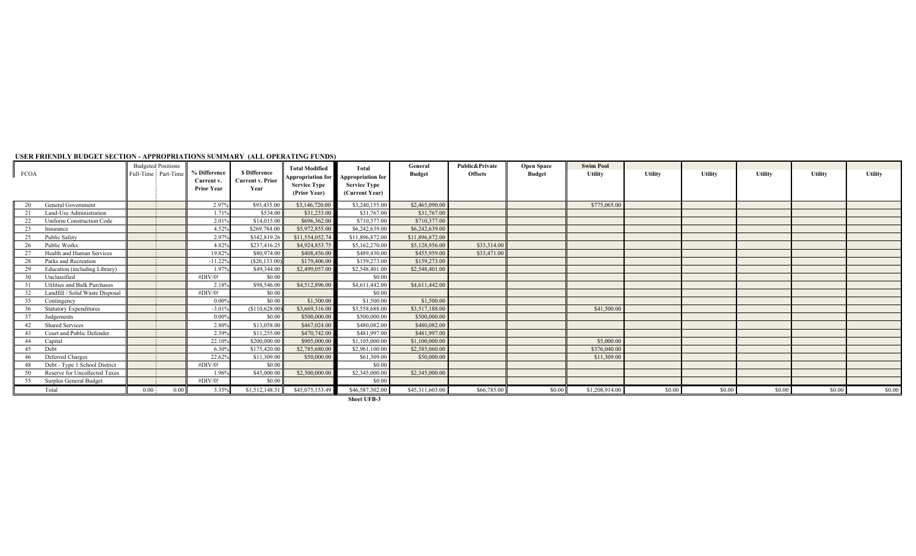| <b>FCOA</b>                            | <b>Budgeted Positions</b><br>Full-Time Part-Time | <b>Difference</b><br>Current v. | <b>S</b> Difference<br><b>Current v. Prior</b> | <b>Total Modified</b><br><b>Service Type</b> | Total<br>Appropriation for Appropriation for<br><b>Service Type</b> | General<br><b>Budget</b> | <b>Public&amp;Private</b><br><b>Offsets</b> | <b>Open Space</b><br><b>Budget</b> | <b>Swim Pool</b><br><b>Utility</b> | <b>Utility</b> | <b>Utility</b> | <b>Utility</b> | Utility | <b>Utility</b> |
|----------------------------------------|--------------------------------------------------|---------------------------------|------------------------------------------------|----------------------------------------------|---------------------------------------------------------------------|--------------------------|---------------------------------------------|------------------------------------|------------------------------------|----------------|----------------|----------------|---------|----------------|
|                                        |                                                  | <b>Prior Year</b>               | Year                                           | (Prior Year)                                 | (Current Year)                                                      |                          |                                             |                                    |                                    |                |                |                |         |                |
| General Government                     |                                                  | 2.97%                           | \$93,435.00                                    | \$3,146,720.00                               | \$3,240,155.00                                                      | \$2,465,090.00           |                                             |                                    | \$775,065.00                       |                |                |                |         |                |
| Land-Use Administration                |                                                  | 1.71%                           | \$534.00                                       | \$31,233.00                                  | \$31,767.00                                                         | \$31,767.00              |                                             |                                    |                                    |                |                |                |         |                |
| 22<br><b>Uniform Construction Code</b> |                                                  | 2.01%                           | \$14,015.00                                    | \$696,362.00                                 | \$710,377.00                                                        | \$710,377.00             |                                             |                                    |                                    |                |                |                |         |                |
| 23<br>Insurance                        |                                                  | 4.52%                           | \$269,784.00                                   | \$5,972,855.00                               | \$6,242,639.00                                                      | \$6,242,639.00           |                                             |                                    |                                    |                |                |                |         |                |
| <b>Public Safety</b><br>25             |                                                  | 2.97%                           | \$342,819.2                                    | \$11,554,052,74                              | \$11,896,872.00                                                     | \$11,896,872.00          |                                             |                                    |                                    |                |                |                |         |                |
| Public Works<br>26                     |                                                  | 4.82%                           | \$237,416.25                                   | \$4,924,853.7                                | \$5,162,270.00                                                      | \$5,128,956.00           | \$33,314.00                                 |                                    |                                    |                |                |                |         |                |
| Health and Human Services              |                                                  | 19.82%                          | \$80,974.00                                    | \$408,456.00                                 | \$489,430.00                                                        | \$455,959.00             | \$33,471.00                                 |                                    |                                    |                |                |                |         |                |
| Parks and Recreation                   |                                                  | $-11.22%$                       | (S20.133.00)                                   | \$179,406.00                                 | \$159,273.00                                                        | \$159,273.00             |                                             |                                    |                                    |                |                |                |         |                |
| Education (including Library)          |                                                  | 1.97%                           | \$49,344.00                                    | \$2,499,057.00                               | \$2,548,401.00                                                      | \$2,548,401.00           |                                             |                                    |                                    |                |                |                |         |                |
| Unclassified<br>30                     |                                                  | #DIV/0!                         | \$0.00                                         |                                              | \$0.00                                                              |                          |                                             |                                    |                                    |                |                |                |         |                |
| Utilities and Bulk Purchases           |                                                  | 2.18%                           | \$98,546.00                                    | \$4,512,896.00                               | \$4,611,442.00                                                      | \$4,611,442.00           |                                             |                                    |                                    |                |                |                |         |                |
| Landfill / Solid Waste Disposal        |                                                  | #DIV/0!                         | \$0.00                                         |                                              | \$0.00                                                              |                          |                                             |                                    |                                    |                |                |                |         |                |
| 35<br>Contingency                      |                                                  | $0.00\%$                        | \$0.00                                         | \$1,500.00                                   | \$1,500.00                                                          | \$1,500.00               |                                             |                                    |                                    |                |                |                |         |                |
| <b>Statutory Expenditures</b>          |                                                  | $-3.01%$                        | (S110, 628.00)                                 | \$3,669,316.00                               | \$3,558,688.00                                                      | \$3,517,188.00           |                                             |                                    | \$41,500.00                        |                |                |                |         |                |
| Judgements                             |                                                  | $0.00\%$                        | \$0.00                                         | \$500,000.00                                 | \$500,000.00                                                        | \$500,000.00             |                                             |                                    |                                    |                |                |                |         |                |
| <b>Shared Services</b>                 |                                                  | 2.80%                           | \$13,058.00                                    | \$467,024.00                                 | \$480,082.00                                                        | \$480,082.00             |                                             |                                    |                                    |                |                |                |         |                |
| Court and Public Defender              |                                                  | 2.39%                           | \$11,255.00                                    | \$470,742.00                                 | \$481,997.00                                                        | \$481,997.00             |                                             |                                    |                                    |                |                |                |         |                |
| Capital                                |                                                  | 22.10%                          | \$200,000.00                                   | \$905,000.00                                 | \$1,105,000.00                                                      | \$1,100,000.00           |                                             |                                    | \$5,000.00                         |                |                |                |         |                |
| Debt<br>45                             |                                                  | 6.30%                           | \$175,420.00                                   | \$2,785,680.00                               | \$2,961,100.00                                                      | \$2,585,060.00           |                                             |                                    | \$376,040.00                       |                |                |                |         |                |
| Deferred Charges<br>46                 |                                                  | 22.62%                          | \$11,309.00                                    | \$50,000.00                                  | \$61,309.00                                                         | \$50,000.00              |                                             |                                    | \$11,309.00                        |                |                |                |         |                |
| Debt - Type 1 School District          |                                                  | #DIV/0!                         | \$0.00                                         |                                              | \$0.00                                                              |                          |                                             |                                    |                                    |                |                |                |         |                |
| Reserve for Uncollected Taxes          |                                                  | 1.96%                           | \$45,000.00                                    | \$2,300,000.00                               | \$2,345,000.00                                                      | \$2,345,000.00           |                                             |                                    |                                    |                |                |                |         |                |
| Surplus General Budget<br>55           |                                                  | #DIV/0!                         | \$0.00                                         |                                              | \$0.00                                                              |                          |                                             |                                    |                                    |                |                |                |         |                |
| Total                                  | 0.00<br>0.00                                     | 3.35%                           | \$1,512,148.5                                  | \$45,075,153.49                              | \$46,587,302.00                                                     | \$45,311,603.00          | \$66,785.00                                 | \$0.00                             | \$1,208,914.00                     | \$0.00         | \$0.00         | \$0.00         | \$0.00  | \$0.00         |

#### **USER FRIENDLY BUDGET SECTION - APPROPRIATIONS SUMMARY (ALL OPERATING FUNDS)**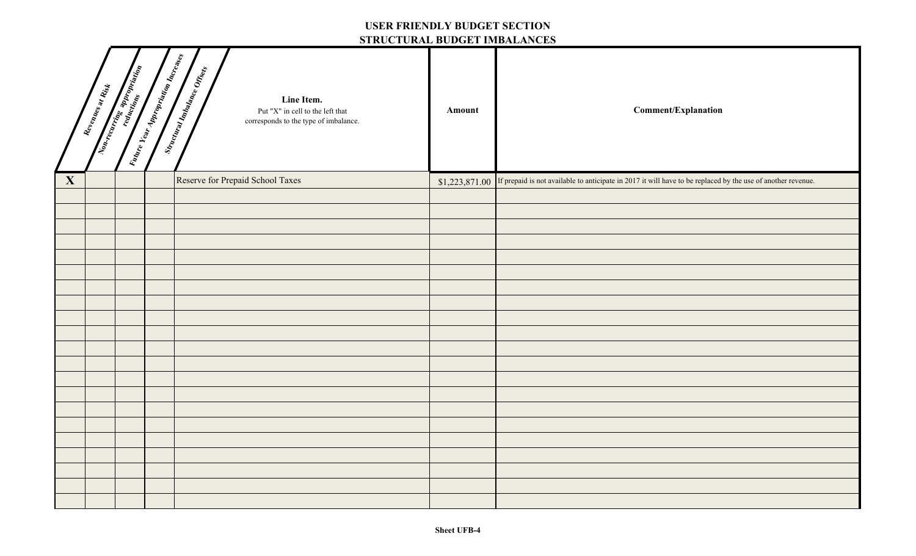#### **USER FRIENDLY BUDGET SECTION STRUCTURAL BUDGET IMBALANCES**

|              | Revenues at Rist | Vidare Vear Appropriation Increases | 511001010101000111111111111010<br>Stractoral Indiana Check<br>Line Item.<br>Put "X" in cell to the left that<br>corresponds to the type of imbalance. | Amount         | <b>Comment/Explanation</b>                                                                                   |
|--------------|------------------|-------------------------------------|-------------------------------------------------------------------------------------------------------------------------------------------------------|----------------|--------------------------------------------------------------------------------------------------------------|
| $\mathbf{X}$ |                  |                                     | Reserve for Prepaid School Taxes                                                                                                                      | \$1,223,871.00 | If prepaid is not available to anticipate in 2017 it will have to be replaced by the use of another revenue. |
|              |                  |                                     |                                                                                                                                                       |                |                                                                                                              |
|              |                  |                                     |                                                                                                                                                       |                |                                                                                                              |
|              |                  |                                     |                                                                                                                                                       |                |                                                                                                              |
|              |                  |                                     |                                                                                                                                                       |                |                                                                                                              |
|              |                  |                                     |                                                                                                                                                       |                |                                                                                                              |
|              |                  |                                     |                                                                                                                                                       |                |                                                                                                              |
|              |                  |                                     |                                                                                                                                                       |                |                                                                                                              |
|              |                  |                                     |                                                                                                                                                       |                |                                                                                                              |
|              |                  |                                     |                                                                                                                                                       |                |                                                                                                              |
|              |                  |                                     |                                                                                                                                                       |                |                                                                                                              |
|              |                  |                                     |                                                                                                                                                       |                |                                                                                                              |
|              |                  |                                     |                                                                                                                                                       |                |                                                                                                              |
|              |                  |                                     |                                                                                                                                                       |                |                                                                                                              |
|              |                  |                                     |                                                                                                                                                       |                |                                                                                                              |
|              |                  |                                     |                                                                                                                                                       |                |                                                                                                              |
|              |                  |                                     |                                                                                                                                                       |                |                                                                                                              |
|              |                  |                                     |                                                                                                                                                       |                |                                                                                                              |
|              |                  |                                     |                                                                                                                                                       |                |                                                                                                              |
|              |                  |                                     |                                                                                                                                                       |                |                                                                                                              |
|              |                  |                                     |                                                                                                                                                       |                |                                                                                                              |
|              |                  |                                     |                                                                                                                                                       |                |                                                                                                              |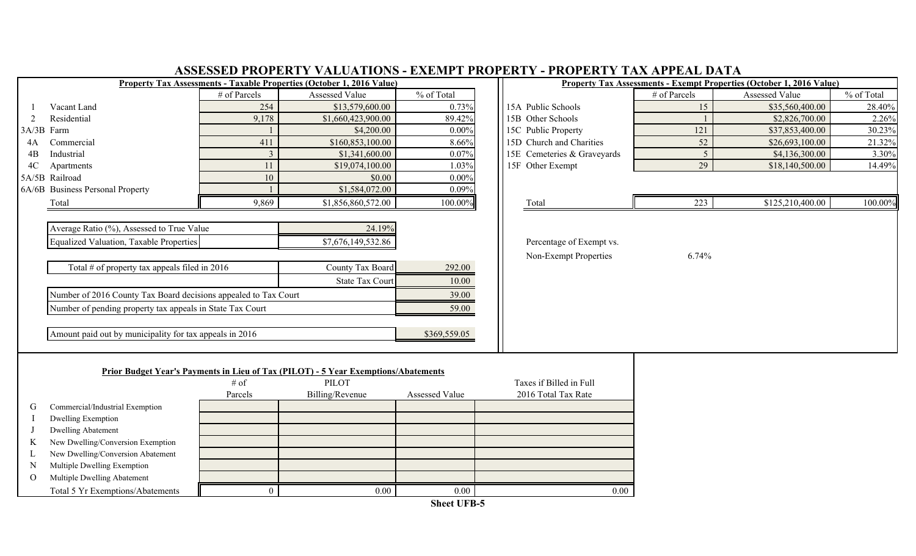|                | ASSESSED PROPERTY VALUATIONS - EXEMPT PROPERTY - PROPERTY TAX APPEAL DATA |                        |                                                                                    |                       |  |                             |                |                                                                             |            |  |  |  |  |
|----------------|---------------------------------------------------------------------------|------------------------|------------------------------------------------------------------------------------|-----------------------|--|-----------------------------|----------------|-----------------------------------------------------------------------------|------------|--|--|--|--|
|                |                                                                           |                        | Property Tax Assessments - Taxable Properties (October 1, 2016 Value)              |                       |  |                             |                | <b>Property Tax Assessments - Exempt Properties (October 1, 2016 Value)</b> |            |  |  |  |  |
|                |                                                                           | # of Parcels           | Assessed Value                                                                     | % of Total            |  |                             | # of Parcels   | Assessed Value                                                              | % of Total |  |  |  |  |
|                | Vacant Land                                                               | 254                    | \$13,579,600.00                                                                    | 0.73%                 |  | 15A Public Schools          | 15             | \$35,560,400.00                                                             | 28.40%     |  |  |  |  |
| $\overline{2}$ | Residential                                                               | 9,178                  | \$1,660,423,900.00                                                                 | 89.42%                |  | 15B Other Schools           |                | \$2,826,700.00                                                              | 2.26%      |  |  |  |  |
|                | 3A/3B Farm                                                                |                        | \$4,200.00                                                                         | $0.00\%$              |  | 15C Public Property         | 121            | \$37,853,400.00                                                             | 30.23%     |  |  |  |  |
| 4A             | Commercial                                                                | 411                    | \$160,853,100.00                                                                   | 8.66%                 |  | 15D Church and Charities    | 52             | \$26,693,100.00                                                             | 21.32%     |  |  |  |  |
| 4B             | Industrial                                                                | $\mathcal{E}$          | \$1,341,600.00                                                                     | 0.07%                 |  | 15E Cemeteries & Graveyards | $\overline{5}$ | \$4,136,300.00                                                              | 3.30%      |  |  |  |  |
| 4C             | Apartments                                                                | 11                     | \$19,074,100.00                                                                    | 1.03%                 |  | 15F Other Exempt            | 29             | \$18,140,500.00                                                             | 14.49%     |  |  |  |  |
|                | 5A/5B Railroad                                                            | 10                     | \$0.00                                                                             | $0.00\%$              |  |                             |                |                                                                             |            |  |  |  |  |
|                | 6A/6B Business Personal Property                                          |                        | \$1,584,072.00                                                                     | 0.09%                 |  |                             |                |                                                                             |            |  |  |  |  |
|                | Total                                                                     | 9,869                  | \$1,856,860,572.00                                                                 | 100.00%               |  | Total                       | 223            | \$125,210,400.00                                                            | 100.00%    |  |  |  |  |
|                |                                                                           |                        |                                                                                    |                       |  |                             |                |                                                                             |            |  |  |  |  |
|                | Average Ratio (%), Assessed to True Value                                 |                        | 24.19%                                                                             |                       |  |                             |                |                                                                             |            |  |  |  |  |
|                | <b>Equalized Valuation, Taxable Properties</b>                            |                        | \$7,676,149,532.86                                                                 |                       |  | Percentage of Exempt vs.    |                |                                                                             |            |  |  |  |  |
|                |                                                                           |                        |                                                                                    |                       |  | Non-Exempt Properties       | 6.74%          |                                                                             |            |  |  |  |  |
|                | Total # of property tax appeals filed in $2016$                           |                        | County Tax Board                                                                   | 292.00                |  |                             |                |                                                                             |            |  |  |  |  |
|                |                                                                           | <b>State Tax Court</b> | 10.00                                                                              |                       |  |                             |                |                                                                             |            |  |  |  |  |
|                | Number of 2016 County Tax Board decisions appealed to Tax Court           |                        |                                                                                    | 39.00                 |  |                             |                |                                                                             |            |  |  |  |  |
|                | Number of pending property tax appeals in State Tax Court                 |                        |                                                                                    | 59.00                 |  |                             |                |                                                                             |            |  |  |  |  |
|                |                                                                           |                        |                                                                                    |                       |  |                             |                |                                                                             |            |  |  |  |  |
|                | Amount paid out by municipality for tax appeals in 2016                   |                        |                                                                                    | \$369,559.05          |  |                             |                |                                                                             |            |  |  |  |  |
|                |                                                                           |                        |                                                                                    |                       |  |                             |                |                                                                             |            |  |  |  |  |
|                |                                                                           |                        | Prior Budget Year's Payments in Lieu of Tax (PILOT) - 5 Year Exemptions/Abatements |                       |  |                             |                |                                                                             |            |  |  |  |  |
|                |                                                                           | $#$ of                 | <b>PILOT</b>                                                                       |                       |  | Taxes if Billed in Full     |                |                                                                             |            |  |  |  |  |
|                |                                                                           | Parcels                | Billing/Revenue                                                                    | <b>Assessed Value</b> |  | 2016 Total Tax Rate         |                |                                                                             |            |  |  |  |  |
| G              | Commercial/Industrial Exemption                                           |                        |                                                                                    |                       |  |                             |                |                                                                             |            |  |  |  |  |
|                | <b>Dwelling Exemption</b>                                                 |                        |                                                                                    |                       |  |                             |                |                                                                             |            |  |  |  |  |
|                | <b>Dwelling Abatement</b>                                                 |                        |                                                                                    |                       |  |                             |                |                                                                             |            |  |  |  |  |
|                | New Dwelling/Conversion Exemption                                         |                        |                                                                                    |                       |  |                             |                |                                                                             |            |  |  |  |  |
|                | New Dwelling/Conversion Abatement                                         |                        |                                                                                    |                       |  |                             |                |                                                                             |            |  |  |  |  |
| N              | Multiple Dwelling Exemption                                               |                        |                                                                                    |                       |  |                             |                |                                                                             |            |  |  |  |  |
| $\Omega$       | Multiple Dwelling Abatement                                               |                        |                                                                                    |                       |  |                             |                |                                                                             |            |  |  |  |  |
|                | Total 5 Yr Exemptions/Abatements                                          | $\overline{0}$         | 0.00                                                                               | 0.00                  |  | 0.00                        |                |                                                                             |            |  |  |  |  |
|                |                                                                           |                        |                                                                                    | $Ch o A THED E$       |  |                             |                |                                                                             |            |  |  |  |  |

## **ASSESSED PROPERTY VALUATIONS - EXEMPT PROPERTY - PROPERTY TAX APPEAL DATA**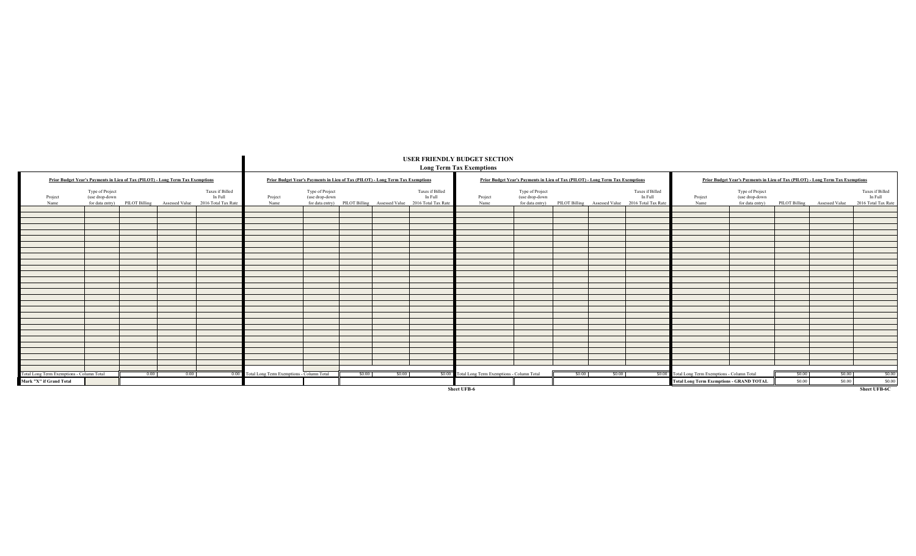|                                           |                                   |      |                                                                                |                                                                                                |                                                |                                   |        |                                                                                |                                                                                                | <b>USER FRIENDLY BUDGET SECTION</b><br><b>Long Term Tax Exemptions</b> |                                                                                |        |        |                                                                                                |                                                  |                                                                                |        |                                              |                                                   |
|-------------------------------------------|-----------------------------------|------|--------------------------------------------------------------------------------|------------------------------------------------------------------------------------------------|------------------------------------------------|-----------------------------------|--------|--------------------------------------------------------------------------------|------------------------------------------------------------------------------------------------|------------------------------------------------------------------------|--------------------------------------------------------------------------------|--------|--------|------------------------------------------------------------------------------------------------|--------------------------------------------------|--------------------------------------------------------------------------------|--------|----------------------------------------------|---------------------------------------------------|
|                                           |                                   |      | Prior Budget Year's Payments in Lieu of Tax (PILOT) - Long Term Tax Exemptions |                                                                                                |                                                |                                   |        | Prior Budget Year's Payments in Lieu of Tax (PILOT) - Long Term Tax Exemptions |                                                                                                |                                                                        | Prior Budget Year's Payments in Lieu of Tax (PILOT) - Long Term Tax Exemptions |        |        |                                                                                                |                                                  | Prior Budget Year's Payments in Lieu of Tax (PILOT) - Long Term Tax Exemptions |        |                                              |                                                   |
| Project<br>Name                           | Type of Project<br>(use drop-down |      |                                                                                | Taxes if Billed<br>In Full<br>for data entry) PILOT Billing Assessed Value 2016 Total Tax Rate | Project<br>Name                                | Type of Project<br>(use drop-down |        |                                                                                | Taxes if Billed<br>In Full<br>for data entry) PILOT Billing Assessed Value 2016 Total Tax Rate | Project<br>Name                                                        | Type of Project<br>(use drop-down                                              |        |        | Taxes if Billed<br>In Full<br>for data entry) PILOT Billing Assessed Value 2016 Total Tax Rate | Project<br>Name                                  | Type of Project<br>(use drop-down                                              |        | for data entry) PILOT Billing Assessed Value | Taxes if Billed<br>In Full<br>2016 Total Tax Rate |
|                                           |                                   |      |                                                                                |                                                                                                |                                                |                                   |        |                                                                                |                                                                                                |                                                                        |                                                                                |        |        |                                                                                                |                                                  |                                                                                |        |                                              |                                                   |
|                                           |                                   |      |                                                                                |                                                                                                |                                                |                                   |        |                                                                                |                                                                                                |                                                                        |                                                                                |        |        |                                                                                                |                                                  |                                                                                |        |                                              |                                                   |
|                                           |                                   |      |                                                                                |                                                                                                |                                                |                                   |        |                                                                                |                                                                                                |                                                                        |                                                                                |        |        |                                                                                                |                                                  |                                                                                |        |                                              |                                                   |
|                                           |                                   |      |                                                                                |                                                                                                |                                                |                                   |        |                                                                                |                                                                                                |                                                                        |                                                                                |        |        |                                                                                                |                                                  |                                                                                |        |                                              |                                                   |
|                                           |                                   |      |                                                                                |                                                                                                |                                                |                                   |        |                                                                                |                                                                                                |                                                                        |                                                                                |        |        |                                                                                                |                                                  |                                                                                |        |                                              |                                                   |
|                                           |                                   |      |                                                                                |                                                                                                |                                                |                                   |        |                                                                                |                                                                                                |                                                                        |                                                                                |        |        |                                                                                                |                                                  |                                                                                |        |                                              |                                                   |
|                                           |                                   |      |                                                                                |                                                                                                |                                                |                                   |        |                                                                                |                                                                                                |                                                                        |                                                                                |        |        |                                                                                                |                                                  |                                                                                |        |                                              |                                                   |
|                                           |                                   |      |                                                                                |                                                                                                |                                                |                                   |        |                                                                                |                                                                                                |                                                                        |                                                                                |        |        |                                                                                                |                                                  |                                                                                |        |                                              |                                                   |
|                                           |                                   |      |                                                                                |                                                                                                |                                                |                                   |        |                                                                                |                                                                                                |                                                                        |                                                                                |        |        |                                                                                                |                                                  |                                                                                |        |                                              |                                                   |
|                                           |                                   |      |                                                                                |                                                                                                |                                                |                                   |        |                                                                                |                                                                                                |                                                                        |                                                                                |        |        |                                                                                                |                                                  |                                                                                |        |                                              |                                                   |
|                                           |                                   |      |                                                                                |                                                                                                |                                                |                                   |        |                                                                                |                                                                                                |                                                                        |                                                                                |        |        |                                                                                                |                                                  |                                                                                |        |                                              |                                                   |
|                                           |                                   |      |                                                                                |                                                                                                |                                                |                                   |        |                                                                                |                                                                                                |                                                                        |                                                                                |        |        |                                                                                                |                                                  |                                                                                |        |                                              |                                                   |
|                                           |                                   |      |                                                                                |                                                                                                |                                                |                                   |        |                                                                                |                                                                                                |                                                                        |                                                                                |        |        |                                                                                                |                                                  |                                                                                |        |                                              |                                                   |
|                                           |                                   |      |                                                                                |                                                                                                |                                                |                                   |        |                                                                                |                                                                                                |                                                                        |                                                                                |        |        |                                                                                                |                                                  |                                                                                |        |                                              |                                                   |
|                                           |                                   |      |                                                                                |                                                                                                |                                                |                                   |        |                                                                                |                                                                                                |                                                                        |                                                                                |        |        |                                                                                                |                                                  |                                                                                |        |                                              |                                                   |
|                                           |                                   |      |                                                                                |                                                                                                |                                                |                                   |        |                                                                                |                                                                                                |                                                                        |                                                                                |        |        |                                                                                                |                                                  |                                                                                |        |                                              |                                                   |
|                                           |                                   |      |                                                                                |                                                                                                |                                                |                                   |        |                                                                                |                                                                                                |                                                                        |                                                                                |        |        |                                                                                                |                                                  |                                                                                |        |                                              |                                                   |
|                                           |                                   |      |                                                                                |                                                                                                |                                                |                                   |        |                                                                                |                                                                                                |                                                                        |                                                                                |        |        |                                                                                                |                                                  |                                                                                |        |                                              |                                                   |
|                                           |                                   |      |                                                                                |                                                                                                |                                                |                                   |        |                                                                                |                                                                                                |                                                                        |                                                                                |        |        |                                                                                                |                                                  |                                                                                |        |                                              |                                                   |
|                                           |                                   |      |                                                                                |                                                                                                |                                                |                                   |        |                                                                                |                                                                                                |                                                                        |                                                                                |        |        |                                                                                                |                                                  |                                                                                |        |                                              |                                                   |
| Total Long Term Exemptions - Column Total |                                   | 0.00 | 0.00                                                                           |                                                                                                | 0.00 Total Long Term Exemptions - Column Total |                                   | \$0.00 | \$0.00                                                                         |                                                                                                | \$0.00 Total Long Term Exemptions - Column Total                       |                                                                                | \$0.00 | \$0.00 |                                                                                                | \$0.00 Total Long Term Exemptions - Column Total |                                                                                | \$0.00 | \$0.00                                       | \$0.00                                            |
| Mark "X" if Grand Total                   |                                   |      |                                                                                |                                                                                                |                                                |                                   |        |                                                                                |                                                                                                |                                                                        |                                                                                |        |        |                                                                                                | <b>Total Long Term Exemptions - GRAND TOTAL</b>  |                                                                                | \$0.00 | \$0.00                                       | \$0.00                                            |
|                                           |                                   |      |                                                                                |                                                                                                |                                                |                                   |        |                                                                                |                                                                                                | Sheet UFB-6                                                            |                                                                                |        |        |                                                                                                |                                                  |                                                                                |        |                                              | <b>Sheet UFB-6C</b>                               |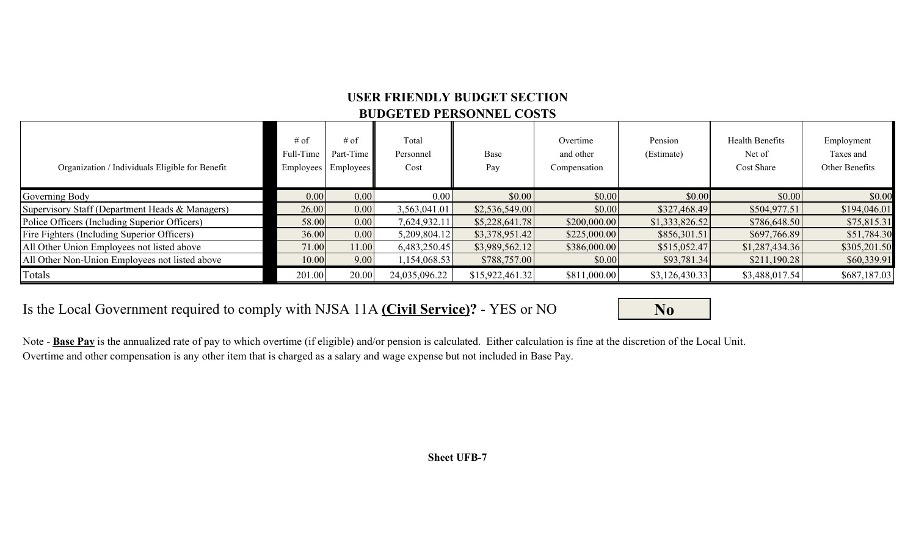## **USER FRIENDLY BUDGET SECTION BUDGETED PERSONNEL COSTS**

| Organization / Individuals Eligible for Benefit | $#$ of<br>Full-Time<br><b>Employees</b> | # of<br>Part-Time<br><b>Employees</b> | Total<br>Personnel<br>Cost | Base<br>Pay     | Overtime<br>and other<br>Compensation | Pension<br>(Estimate) | <b>Health Benefits</b><br>Net of<br>Cost Share | Employment<br>Taxes and<br>Other Benefits |
|-------------------------------------------------|-----------------------------------------|---------------------------------------|----------------------------|-----------------|---------------------------------------|-----------------------|------------------------------------------------|-------------------------------------------|
| Governing Body                                  | 0.00                                    | 0.00                                  | 0.00                       | \$0.00          | \$0.00                                | \$0.00                | \$0.00                                         | \$0.00                                    |
| Supervisory Staff (Department Heads & Managers) | 26.00                                   | 0.00                                  | 3,563,041.01               | \$2,536,549.00  | \$0.00                                | \$327,468.49          | \$504,977.51                                   | \$194,046.01                              |
| Police Officers (Including Superior Officers)   | 58.00                                   | 0.00                                  | 7,624,932.11               | \$5,228,641.78  | \$200,000.00                          | \$1,333,826.52        | \$786,648.50                                   | \$75,815.31                               |
| Fire Fighters (Including Superior Officers)     | 36.00                                   | 0.00                                  | 5,209,804.12               | \$3,378,951.42  | \$225,000.00                          | \$856,301.51          | \$697,766.89                                   | \$51,784.30                               |
| All Other Union Employees not listed above      | 71.00                                   | 11.00                                 | 6,483,250.45               | \$3,989,562.12  | \$386,000.00                          | \$515,052.47          | \$1,287,434.36                                 | \$305,201.50                              |
| All Other Non-Union Employees not listed above  | 10.00                                   | 9.00                                  | ,154,068.53                | \$788,757.00    | \$0.00                                | \$93,781.34           | \$211,190.28                                   | \$60,339.91                               |
| Totals                                          | 201.00                                  | 20.00                                 | 24,035,096.22              | \$15,922,461.32 | \$811,000.00                          | \$3,126,430.33        | \$3,488,017.54                                 | \$687,187.03                              |

## Is the Local Government required to comply with NJSA 11A (Civil Service)? - YES or NO **No**

Note - **Base Pay** is the annualized rate of pay to which overtime (if eligible) and/or pension is calculated. Either calculation is fine at the discretion of the Local Unit. Overtime and other compensation is any other item that is charged as a salary and wage expense but not included in Base Pay.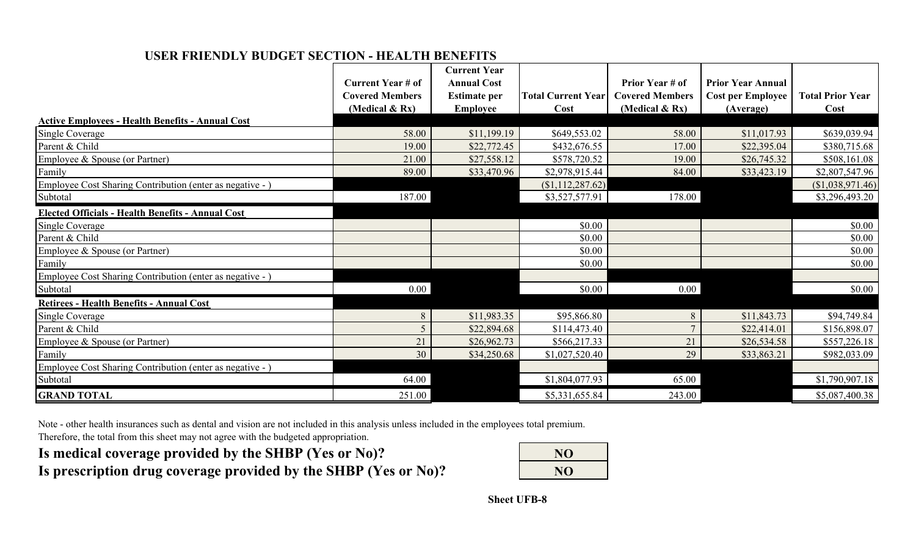## **USER FRIENDLY BUDGET SECTION - HEALTH BENEFITS**

|                                                           |                                                    | <b>Current Year</b> |                           |                        |                          |                         |
|-----------------------------------------------------------|----------------------------------------------------|---------------------|---------------------------|------------------------|--------------------------|-------------------------|
|                                                           | <b>Current Year # of</b><br><b>Covered Members</b> | <b>Annual Cost</b>  |                           | Prior Year # of        | <b>Prior Year Annual</b> |                         |
|                                                           |                                                    | <b>Estimate per</b> | <b>Total Current Year</b> | <b>Covered Members</b> | <b>Cost per Employee</b> | <b>Total Prior Year</b> |
| <b>Active Employees - Health Benefits - Annual Cost</b>   | (Medical $\&$ Rx)                                  | <b>Employee</b>     | Cost                      | (Medical $\&$ Rx)      | (Average)                | Cost                    |
|                                                           | 58.00                                              | \$11,199.19         | \$649,553.02              | 58.00                  | \$11,017.93              | \$639,039.94            |
| <b>Single Coverage</b><br>Parent & Child                  | 19.00                                              | \$22,772.45         | \$432,676.55              | 17.00                  | \$22,395.04              | \$380,715.68            |
|                                                           | 21.00                                              |                     |                           | 19.00                  |                          |                         |
| Employee & Spouse (or Partner)                            |                                                    | \$27,558.12         | \$578,720.52              |                        | \$26,745.32              | \$508,161.08            |
| Family                                                    | 89.00                                              | \$33,470.96         | \$2,978,915.44            | 84.00                  | \$33,423.19              | \$2,807,547.96          |
| Employee Cost Sharing Contribution (enter as negative - ) |                                                    |                     | (\$1,112,287.62)          |                        |                          | (\$1,038,971.46)        |
| Subtotal                                                  | 187.00                                             |                     | \$3,527,577.91            | 178.00                 |                          | \$3,296,493.20          |
| <b>Elected Officials - Health Benefits - Annual Cost</b>  |                                                    |                     |                           |                        |                          |                         |
| <b>Single Coverage</b>                                    |                                                    |                     | \$0.00                    |                        |                          | \$0.00                  |
| Parent & Child                                            |                                                    |                     | \$0.00                    |                        |                          | \$0.00                  |
| Employee & Spouse (or Partner)                            |                                                    |                     | \$0.00                    |                        |                          | \$0.00                  |
| Family                                                    |                                                    |                     | \$0.00                    |                        |                          | \$0.00                  |
| Employee Cost Sharing Contribution (enter as negative - ) |                                                    |                     |                           |                        |                          |                         |
| Subtotal                                                  | 0.00                                               |                     | \$0.00                    | 0.00                   |                          | \$0.00                  |
| <b>Retirees - Health Benefits - Annual Cost</b>           |                                                    |                     |                           |                        |                          |                         |
| <b>Single Coverage</b>                                    | $8\,$                                              | \$11,983.35         | \$95,866.80               | 8                      | \$11,843.73              | \$94,749.84             |
| Parent & Child                                            | 5                                                  | \$22,894.68         | \$114,473.40              | $\overline{7}$         | \$22,414.01              | \$156,898.07            |
| Employee & Spouse (or Partner)                            | 21                                                 | \$26,962.73         | \$566,217.33              | 21                     | \$26,534.58              | \$557,226.18            |
| Family                                                    | 30                                                 | \$34,250.68         | \$1,027,520.40            | 29                     | \$33,863.21              | \$982,033.09            |
| Employee Cost Sharing Contribution (enter as negative - ) |                                                    |                     |                           |                        |                          |                         |
| Subtotal                                                  | 64.00                                              |                     | \$1,804,077.93            | 65.00                  |                          | \$1,790,907.18          |
| <b>GRAND TOTAL</b>                                        | 251.00                                             |                     | \$5,331,655.84            | 243.00                 |                          | \$5,087,400.38          |

Note - other health insurances such as dental and vision are not included in this analysis unless included in the employees total premium.

Therefore, the total from this sheet may not agree with the budgeted appropriation.

Is medical coverage provided by the SHBP (Yes or No)? Is prescription drug coverage provided by the SHBP (Yes or No)?

| NO |  |
|----|--|
| NO |  |
|    |  |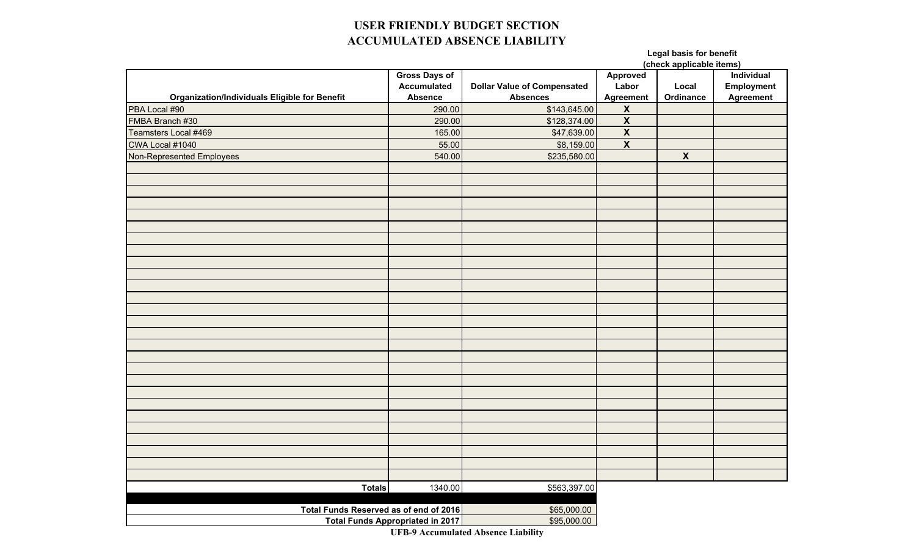## **USER FRIENDLY BUDGET SECTION ACCUMULATED ABSENCE LIABILITY**

#### **Legal basis for benefit (check applicable items)**

|                                                      |                                         |                                    |                         | (Crieck applicable items) |            |  |  |
|------------------------------------------------------|-----------------------------------------|------------------------------------|-------------------------|---------------------------|------------|--|--|
|                                                      | <b>Gross Days of</b>                    |                                    | <b>Approved</b>         |                           | Individual |  |  |
|                                                      | <b>Accumulated</b>                      | <b>Dollar Value of Compensated</b> | Labor                   | Local                     | Employment |  |  |
| <b>Organization/Individuals Eligible for Benefit</b> | <b>Absence</b>                          | <b>Absences</b>                    | <b>Agreement</b>        | Ordinance                 | Agreement  |  |  |
| PBA Local #90                                        | 290.00                                  | \$143,645.00                       | $\overline{\mathbf{X}}$ |                           |            |  |  |
| FMBA Branch #30                                      | 290.00                                  | \$128,374.00                       | $\overline{\mathbf{X}}$ |                           |            |  |  |
| Teamsters Local #469                                 | 165.00                                  | \$47,639.00                        | $\overline{\mathbf{x}}$ |                           |            |  |  |
| CWA Local #1040                                      | 55.00                                   | \$8,159.00                         | $\overline{\mathbf{x}}$ |                           |            |  |  |
| Non-Represented Employees                            | 540.00                                  | \$235,580.00                       |                         | $\mathsf{X}$              |            |  |  |
|                                                      |                                         |                                    |                         |                           |            |  |  |
|                                                      |                                         |                                    |                         |                           |            |  |  |
|                                                      |                                         |                                    |                         |                           |            |  |  |
|                                                      |                                         |                                    |                         |                           |            |  |  |
|                                                      |                                         |                                    |                         |                           |            |  |  |
|                                                      |                                         |                                    |                         |                           |            |  |  |
|                                                      |                                         |                                    |                         |                           |            |  |  |
|                                                      |                                         |                                    |                         |                           |            |  |  |
|                                                      |                                         |                                    |                         |                           |            |  |  |
|                                                      |                                         |                                    |                         |                           |            |  |  |
|                                                      |                                         |                                    |                         |                           |            |  |  |
|                                                      |                                         |                                    |                         |                           |            |  |  |
|                                                      |                                         |                                    |                         |                           |            |  |  |
|                                                      |                                         |                                    |                         |                           |            |  |  |
|                                                      |                                         |                                    |                         |                           |            |  |  |
|                                                      |                                         |                                    |                         |                           |            |  |  |
|                                                      |                                         |                                    |                         |                           |            |  |  |
|                                                      |                                         |                                    |                         |                           |            |  |  |
|                                                      |                                         |                                    |                         |                           |            |  |  |
|                                                      |                                         |                                    |                         |                           |            |  |  |
|                                                      |                                         |                                    |                         |                           |            |  |  |
|                                                      |                                         |                                    |                         |                           |            |  |  |
|                                                      |                                         |                                    |                         |                           |            |  |  |
|                                                      |                                         |                                    |                         |                           |            |  |  |
|                                                      |                                         |                                    |                         |                           |            |  |  |
|                                                      |                                         |                                    |                         |                           |            |  |  |
|                                                      |                                         |                                    |                         |                           |            |  |  |
| <b>Totals</b>                                        | 1340.00                                 | \$563,397.00                       |                         |                           |            |  |  |
|                                                      |                                         |                                    |                         |                           |            |  |  |
| Total Funds Reserved as of end of 2016               | \$65,000.00                             |                                    |                         |                           |            |  |  |
|                                                      | <b>Total Funds Appropriated in 2017</b> | \$95,000.00                        |                         |                           |            |  |  |

**UFB-9 Accumulated Absence Liability**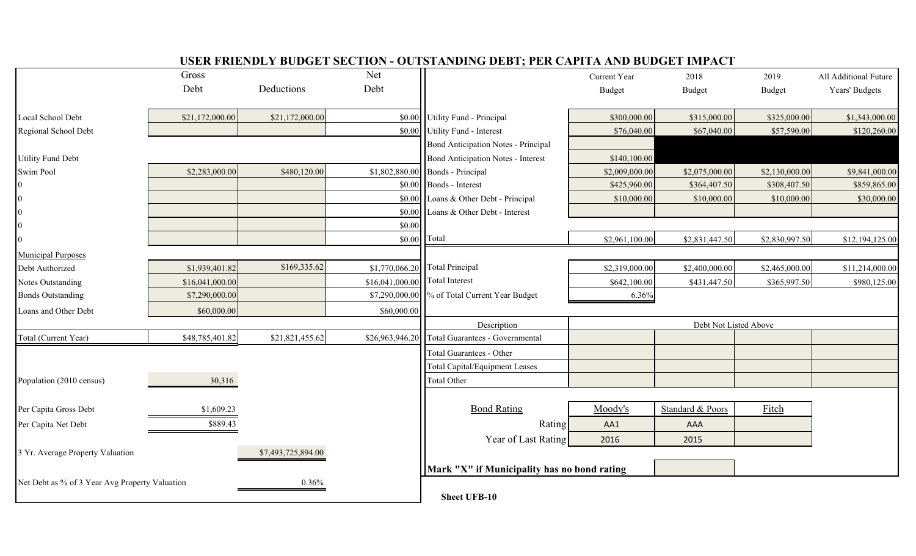|                                                |                 |                    |                 | <u> Colin Finlindl i Dodolfi Section - Octofinidino Dedt, fen chi fin mid Dodolf Inifact</u> |                |                       |                |                       |
|------------------------------------------------|-----------------|--------------------|-----------------|----------------------------------------------------------------------------------------------|----------------|-----------------------|----------------|-----------------------|
|                                                | Gross           |                    | Net             |                                                                                              | Current Year   | 2018                  | 2019           | All Additional Future |
|                                                | Debt            | Deductions         | Debt            |                                                                                              | <b>Budget</b>  | <b>Budget</b>         | Budget         | Years' Budgets        |
| Local School Debt                              | \$21,172,000.00 | \$21,172,000.00    |                 | \$0.00 Utility Fund - Principal                                                              | \$300,000.00   | \$315,000.00          | \$325,000.00   | \$1,343,000.00        |
| Regional School Debt                           |                 |                    |                 | \$0.00 Utility Fund - Interest                                                               | \$76,040.00    | \$67,040.00           | \$57,590.00    | \$120,260.00          |
|                                                |                 |                    |                 | Bond Anticipation Notes - Principal                                                          |                |                       |                |                       |
| <b>Utility Fund Debt</b>                       |                 |                    |                 | <b>Bond Anticipation Notes - Interest</b>                                                    | \$140,100.00   |                       |                |                       |
| Swim Pool                                      | \$2,283,000.00  | \$480,120.00       |                 | $$1,802,880.00$ Bonds - Principal                                                            | \$2,009,000.00 | \$2,075,000.00        | \$2,130,000.00 | \$9,841,000.00        |
|                                                |                 |                    |                 | $\vert$ \$0.00   Bonds - Interest                                                            | \$425,960.00   | \$364,407.50          | \$308,407.50   | \$859,865.00          |
|                                                |                 |                    |                 | \$0.00 Loans & Other Debt - Principal                                                        | \$10,000.00    | \$10,000.00           | \$10,000.00    | \$30,000.00           |
|                                                |                 |                    | \$0.00          | Loans & Other Debt - Interest                                                                |                |                       |                |                       |
|                                                |                 |                    | \$0.00          |                                                                                              |                |                       |                |                       |
|                                                |                 |                    | \$0.00          | Total                                                                                        | \$2,961,100.00 | \$2,831,447.50        | \$2,830,997.50 | \$12,194,125.00       |
| <b>Municipal Purposes</b>                      |                 |                    |                 |                                                                                              |                |                       |                |                       |
| Debt Authorized                                | \$1,939,401.82  | \$169,335.62       |                 | \$1,770,066.20 Total Principal                                                               | \$2,319,000.00 | \$2,400,000.00        | \$2,465,000.00 | \$11,214,000.00       |
| Notes Outstanding                              | \$16,041,000.00 |                    | \$16,041,000.00 | Total Interest                                                                               | \$642,100.00   | \$431,447.50          | \$365,997.50   | \$980,125.00          |
| <b>Bonds Outstanding</b>                       | \$7,290,000.00  |                    |                 | \$7,290,000.00 \% of Total Current Year Budget                                               | 6.36%          |                       |                |                       |
| Loans and Other Debt                           | \$60,000.00     |                    | \$60,000.00     |                                                                                              |                |                       |                |                       |
|                                                |                 |                    |                 | Description                                                                                  |                | Debt Not Listed Above |                |                       |
| Total (Current Year)                           | \$48,785,401.82 | \$21,821,455.62    | \$26,963,946.20 | Total Guarantees - Governmental                                                              |                |                       |                |                       |
|                                                |                 |                    |                 | <b>Total Guarantees - Other</b>                                                              |                |                       |                |                       |
|                                                |                 |                    |                 | <b>Total Capital/Equipment Leases</b>                                                        |                |                       |                |                       |
| Population (2010 census)                       | 30,316          |                    |                 | <b>Total Other</b>                                                                           |                |                       |                |                       |
|                                                |                 |                    |                 |                                                                                              |                |                       |                |                       |
| Per Capita Gross Debt                          | \$1,609.23      |                    |                 | <b>Bond Rating</b>                                                                           | Moody's        | Standard & Poors      | Fitch          |                       |
| Per Capita Net Debt                            | \$889.43        |                    |                 | Rating                                                                                       | AA1            | AAA                   |                |                       |
|                                                |                 |                    |                 | Year of Last Rating                                                                          | 2016           | 2015                  |                |                       |
| 3 Yr. Average Property Valuation               |                 | \$7,493,725,894.00 |                 |                                                                                              |                |                       |                |                       |
|                                                |                 |                    |                 | Mark "X" if Municipality has no bond rating                                                  |                |                       |                |                       |
| Net Debt as % of 3 Year Avg Property Valuation |                 | 0.36%              |                 |                                                                                              |                |                       |                |                       |
|                                                |                 |                    |                 | <b>Sheet UFB-10</b>                                                                          |                |                       |                |                       |

## **USER FRIENDLY BUDGET SECTION - OUTSTANDING DEBT; PER CAPITA AND BUDGET IMPACT**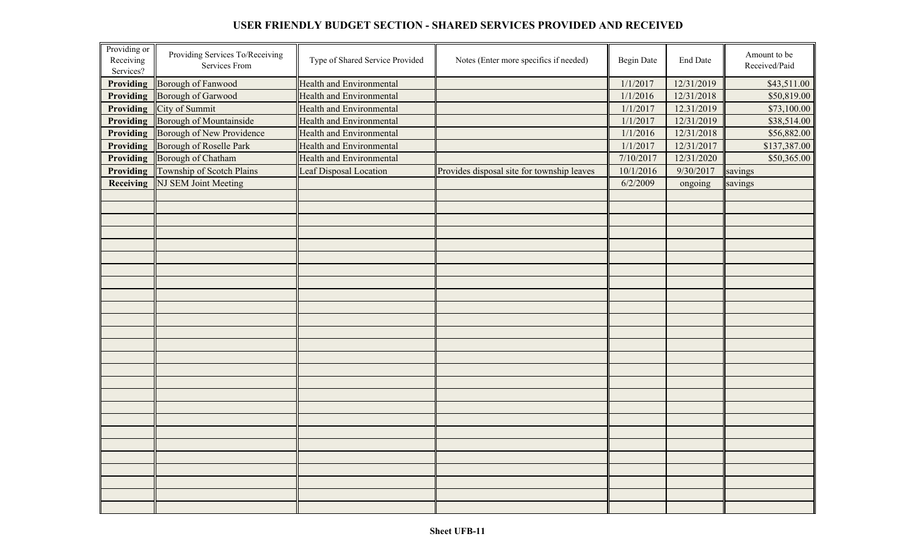#### **USER FRIENDLY BUDGET SECTION - SHARED SERVICES PROVIDED AND RECEIVED**

| Providing or<br>Receiving<br>Services? | Providing Services To/Receiving<br>Services From | Type of Shared Service Provided | Notes (Enter more specifics if needed)     | <b>Begin Date</b> | End Date   | Amount to be<br>Received/Paid |
|----------------------------------------|--------------------------------------------------|---------------------------------|--------------------------------------------|-------------------|------------|-------------------------------|
| Providing                              | <b>Borough of Fanwood</b>                        | <b>Health and Environmental</b> |                                            | 1/1/2017          | 12/31/2019 | \$43,511.00                   |
| Providing                              | <b>Borough of Garwood</b>                        | <b>Health and Environmental</b> |                                            | 1/1/2016          | 12/31/2018 | \$50,819.00                   |
| Providing                              | City of Summit                                   | <b>Health and Environmental</b> |                                            | 1/1/2017          | 12.31/2019 | \$73,100.00                   |
| Providing                              | Borough of Mountainside                          | <b>Health and Environmental</b> |                                            | 1/1/2017          | 12/31/2019 | \$38,514.00                   |
| Providing                              | Borough of New Providence                        | <b>Health and Environmental</b> |                                            | 1/1/2016          | 12/31/2018 | \$56,882.00                   |
| Providing                              | Borough of Roselle Park                          | <b>Health and Environmental</b> |                                            | 1/1/2017          | 12/31/2017 | \$137,387.00                  |
| <b>Providing</b>                       | <b>Borough of Chatham</b>                        | <b>Health and Environmental</b> |                                            | 7/10/2017         | 12/31/2020 | \$50,365.00                   |
| <b>Providing</b>                       | Township of Scotch Plains                        | Leaf Disposal Location          | Provides disposal site for township leaves | 10/1/2016         | 9/30/2017  | savings                       |
| Receiving                              | NJ SEM Joint Meeting                             |                                 |                                            | 6/2/2009          | ongoing    | savings                       |
|                                        |                                                  |                                 |                                            |                   |            |                               |
|                                        |                                                  |                                 |                                            |                   |            |                               |
|                                        |                                                  |                                 |                                            |                   |            |                               |
|                                        |                                                  |                                 |                                            |                   |            |                               |
|                                        |                                                  |                                 |                                            |                   |            |                               |
|                                        |                                                  |                                 |                                            |                   |            |                               |
|                                        |                                                  |                                 |                                            |                   |            |                               |
|                                        |                                                  |                                 |                                            |                   |            |                               |
|                                        |                                                  |                                 |                                            |                   |            |                               |
|                                        |                                                  |                                 |                                            |                   |            |                               |
|                                        |                                                  |                                 |                                            |                   |            |                               |
|                                        |                                                  |                                 |                                            |                   |            |                               |
|                                        |                                                  |                                 |                                            |                   |            |                               |
|                                        |                                                  |                                 |                                            |                   |            |                               |
|                                        |                                                  |                                 |                                            |                   |            |                               |
|                                        |                                                  |                                 |                                            |                   |            |                               |
|                                        |                                                  |                                 |                                            |                   |            |                               |
|                                        |                                                  |                                 |                                            |                   |            |                               |
|                                        |                                                  |                                 |                                            |                   |            |                               |
|                                        |                                                  |                                 |                                            |                   |            |                               |
|                                        |                                                  |                                 |                                            |                   |            |                               |
|                                        |                                                  |                                 |                                            |                   |            |                               |
|                                        |                                                  |                                 |                                            |                   |            |                               |
|                                        |                                                  |                                 |                                            |                   |            |                               |
|                                        |                                                  |                                 |                                            |                   |            |                               |
|                                        |                                                  |                                 |                                            |                   |            |                               |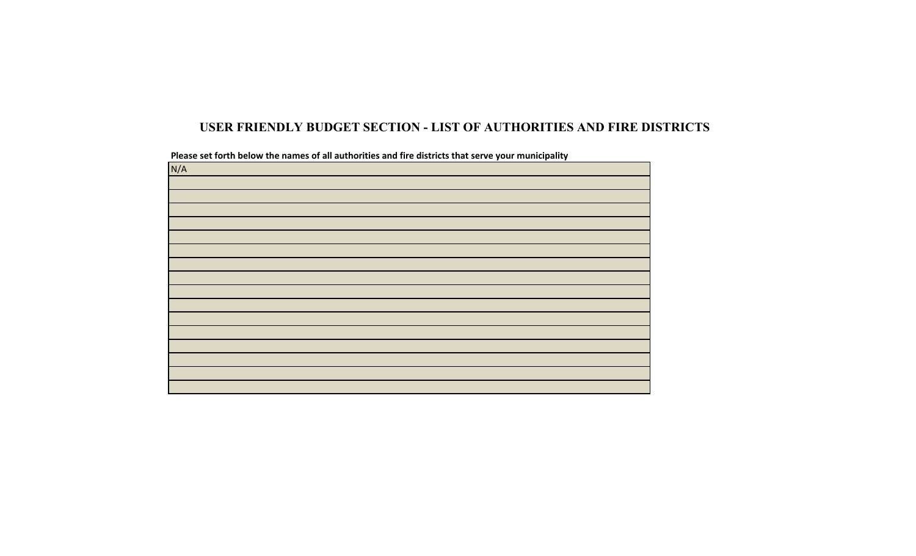## **USER FRIENDLY BUDGET SECTION - LIST OF AUTHORITIES AND FIRE DISTRICTS**

| N/A |  |  |
|-----|--|--|
|     |  |  |
|     |  |  |
|     |  |  |
|     |  |  |
|     |  |  |
|     |  |  |
|     |  |  |
|     |  |  |
|     |  |  |
|     |  |  |
|     |  |  |
|     |  |  |
|     |  |  |
|     |  |  |
|     |  |  |
|     |  |  |
|     |  |  |

Please set forth below the names of all authorities and fire districts that serve your municipality